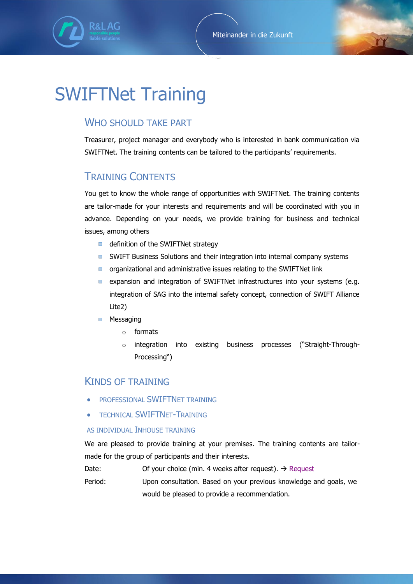

# SWIFTNet Training

## WHO SHOULD TAKE PART

Treasurer, project manager and everybody who is interested in bank communication via SWIFTNet. The training contents can be tailored to the participants' requirements.

# TRAINING CONTENTS

You get to know the whole range of opportunities with SWIFTNet. The training contents are tailor-made for your interests and requirements and will be coordinated with you in advance. Depending on your needs, we provide training for business and technical issues, among others

- definition of the SWIFTNet strategy
- SWIFT Business Solutions and their integration into internal company systems  $\mathcal{L}(\mathcal{A})$
- organizational and administrative issues relating to the SWIFTNet link  $\Box$  .
- expansion and integration of SWIFTNet infrastructures into your systems (e.g.  $\blacksquare$ integration of SAG into the internal safety concept, connection of SWIFT Alliance Lite2)
- Messaging  $\overline{\phantom{a}}$ 
	- o formats
	- o integration into existing business processes ("Straight-Through-Processing")

## KINDS OF TRAINING

- PROFESSIONAL SWIFTNET TRAINING
- **TECHNICAL SWIFTNET-TRAINING**

#### AS INDIVIDUAL INHOUSE TRAINING

We are pleased to provide training at your premises. The training contents are tailormade for the group of participants and their interests.

Date: Of your choice (min. 4 weeks after request).  $\rightarrow$  [Request](mailto:sales@rl-ag.com?subject=Request%20for%20training)

Period: Upon consultation. Based on your previous knowledge and goals, we would be pleased to provide a recommendation.